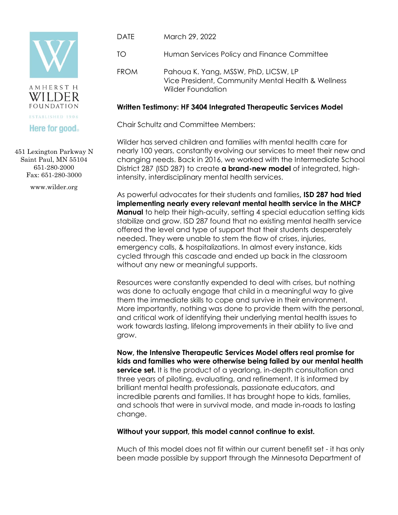



## **Here for good**

451 Lexington Parkway N Saint Paul, MN 55104 651-280-2000 Fax: 651-280-3000

www.wilder.org

- DATE March 29, 2022
- TO Human Services Policy and Finance Committee
- FROM Pahoua K. Yang, MSSW, PhD, LICSW, LP Vice President, Community Mental Health & Wellness Wilder Foundation

## **Written Testimony: HF 3404 Integrated Therapeutic Services Model**

Chair Schultz and Committee Members:

Wilder has served children and families with mental health care for nearly 100 years, constantly evolving our services to meet their new and changing needs. Back in 2016, we worked with the Intermediate School District 287 (ISD 287) to create **a brand-new model** of integrated, highintensity, interdisciplinary mental health services.

As powerful advocates for their students and families**, ISD 287 had tried implementing nearly every relevant mental health service in the MHCP Manual** to help their high-acuity, setting 4 special education setting kids stabilize and grow. ISD 287 found that no existing mental health service offered the level and type of support that their students desperately needed. They were unable to stem the flow of crises, injuries, emergency calls, & hospitalizations. In almost every instance, kids cycled through this cascade and ended up back in the classroom without any new or meaningful supports.

Resources were constantly expended to deal with crises, but nothing was done to actually engage that child in a meaningful way to give them the immediate skills to cope and survive in their environment. More importantly, nothing was done to provide them with the personal, and critical work of identifying their underlying mental health issues to work towards lasting, lifelong improvements in their ability to live and grow.

**Now, the Intensive Therapeutic Services Model offers real promise for kids and families who were otherwise being failed by our mental health service set.** It is the product of a yearlong, in-depth consultation and three years of piloting, evaluating, and refinement. It is informed by brilliant mental health professionals, passionate educators, and incredible parents and families. It has brought hope to kids, families, and schools that were in survival mode, and made in-roads to lasting change.

## **Without your support, this model cannot continue to exist.**

Much of this model does not fit within our current benefit set - it has only been made possible by support through the Minnesota Department of